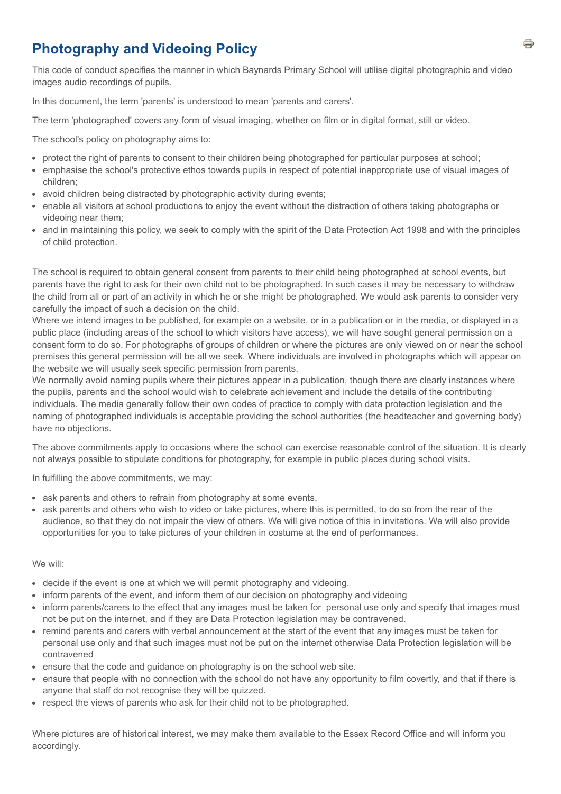# **Photography and Videoing Policy**

This code of conduct specifies the manner in which Baynards Primary School will utilise digital photographic and video images audio recordings of pupils.

In this document, the term 'parents' is understood to mean 'parents and carers'.

The term 'photographed' covers any form of visual imaging, whether on film or in digital format, still or video.

The school's policy on photography aims to:

- protect the right of parents to consent to their children being photographed for particular purposes at school;
- emphasise the school's protective ethos towards pupils in respect of potential inappropriate use of visual images of children;
- avoid children being distracted by photographic activity during events;
- enable all visitors at school productions to enjoy the event without the distraction of others taking photographs or videoing near them;
- and in maintaining this policy, we seek to comply with the spirit of the Data Protection Act 1998 and with the principles of child protection.

The school is required to obtain general consent from parents to their child being photographed at school events, but parents have the right to ask for their own child not to be photographed. In such cases it may be necessary to withdraw the child from all or part of an activity in which he or she might be photographed. We would ask parents to consider very carefully the impact of such a decision on the child.

Where we intend images to be published, for example on a website, or in a publication or in the media, or displayed in a public place (including areas of the school to which visitors have access), we will have sought general permission on a consent form to do so. For photographs of groups of children or where the pictures are only viewed on or near the school premises this general permission will be all we seek. Where individuals are involved in photographs which will appear on the website we will usually seek specific permission from parents.

We normally avoid naming pupils where their pictures appear in a publication, though there are clearly instances where the pupils, parents and the school would wish to celebrate achievement and include the details of the contributing individuals. The media generally follow their own codes of practice to comply with data protection legislation and the naming of photographed individuals is acceptable providing the school authorities (the headteacher and governing body) have no objections.

The above commitments apply to occasions where the school can exercise reasonable control of the situation. It is clearly not always possible to stipulate conditions for photography, for example in public places during school visits.

In fulfilling the above commitments, we may:

- ask parents and others to refrain from photography at some events,
- ask parents and others who wish to video or take pictures, where this is permitted, to do so from the rear of the audience, so that they do not impair the view of others. We will give notice of this in invitations. We will also provide opportunities for you to take pictures of your children in costume at the end of performances.

#### We will:

- decide if the event is one at which we will permit photography and videoing.
- inform parents of the event, and inform them of our decision on photography and videoing
- inform parents/carers to the effect that any images must be taken for personal use only and specify that images must not be put on the internet, and if they are Data Protection legislation may be contravened.
- remind parents and carers with verbal announcement at the start of the event that any images must be taken for personal use only and that such images must not be put on the internet otherwise Data Protection legislation will be contravened
- ensure that the code and guidance on photography is on the school web site.
- ensure that people with no connection with the school do not have any opportunity to film covertly, and that if there is anyone that staff do not recognise they will be quizzed.
- respect the views of parents who ask for their child not to be photographed.

Where pictures are of historical interest, we may make them available to the Essex Record Office and will inform you accordingly.